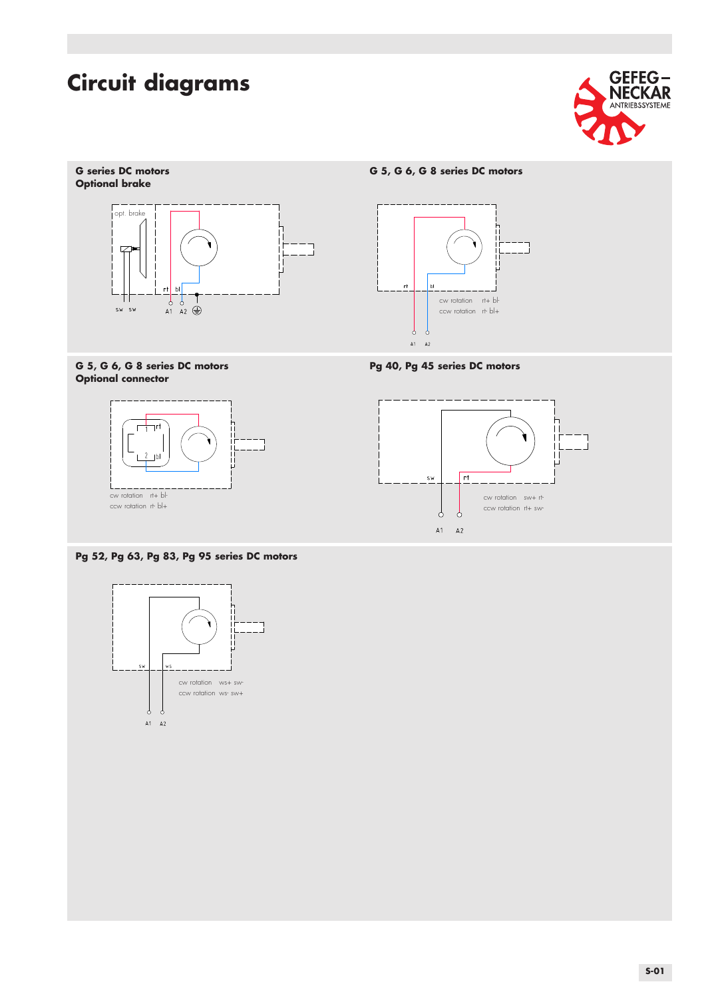



### G 5, G 6, G 8 series DC motors **Pg 40, Pg 45 series DC motors Optional connector**



### **Pg 52, Pg 63, Pg 83, Pg 95 series DC motors**





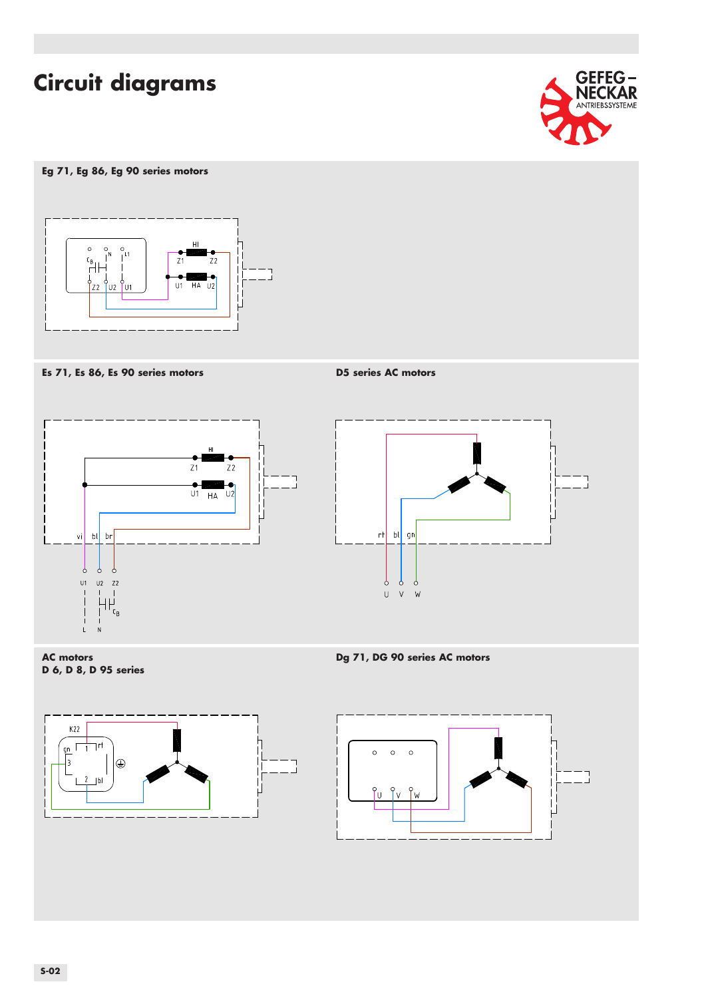

### **Eg 71, Eg 86, Eg 90 series motors**



**Es 71, Es 86, Es 90 series motors D5 series AC motors**









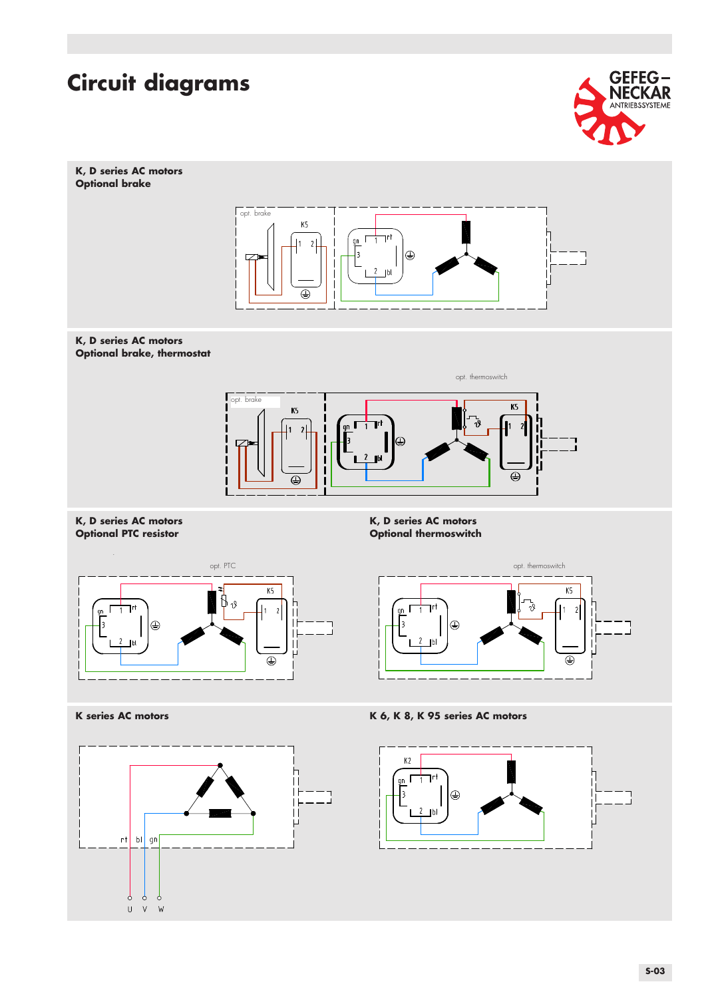



⊕





**K, D series AC motors Network (Reserves)**<br> **K, D series AC motors**<br> **Optional PTC resistor Network (Resp. 2004) Optional thermoswitch** 



 $\overline{\bigoplus}$ 

K series AC motors **K** 6, K 8, K 95 series AC motors

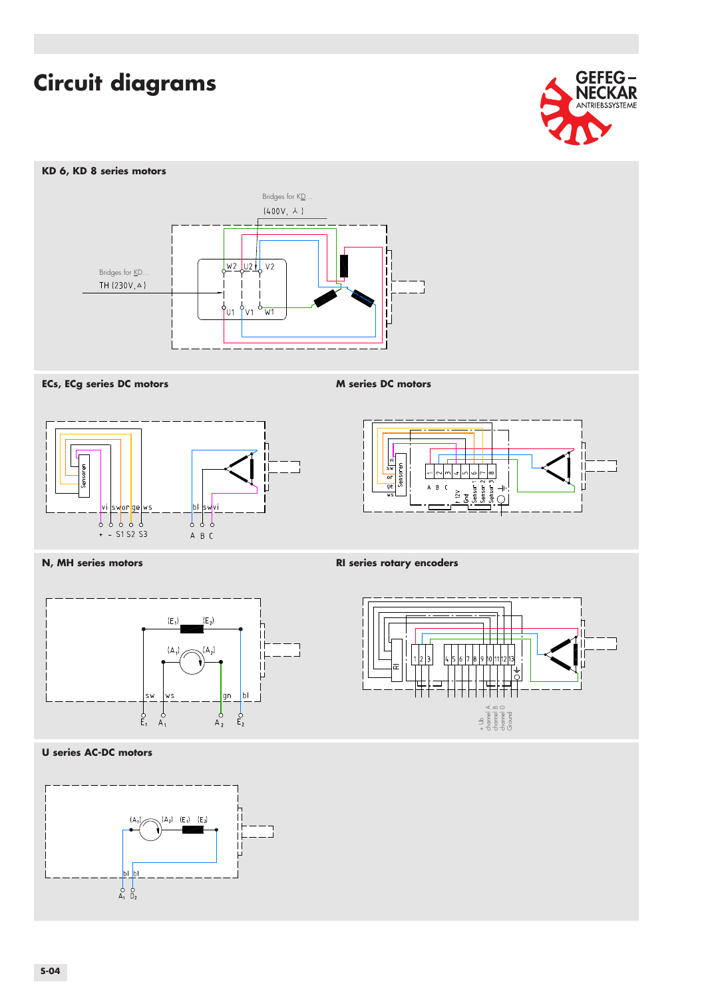

### **KD 6, KD 8 series motors**









### **N, MH series motors RI series rotary encoders**





### **U series AC-DC motors**